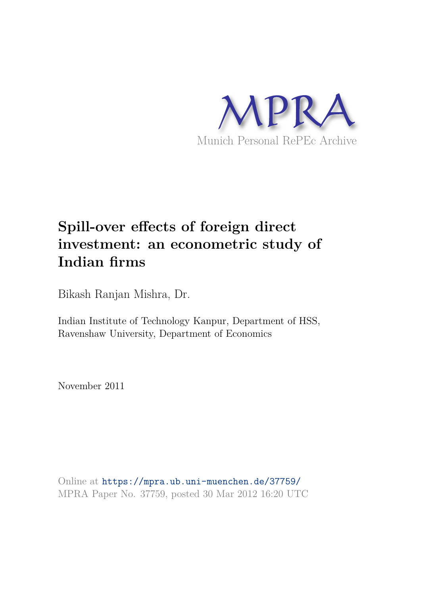

# **Spill-over effects of foreign direct investment: an econometric study of Indian firms**

Bikash Ranjan Mishra, Dr.

Indian Institute of Technology Kanpur, Department of HSS, Ravenshaw University, Department of Economics

November 2011

Online at https://mpra.ub.uni-muenchen.de/37759/ MPRA Paper No. 37759, posted 30 Mar 2012 16:20 UTC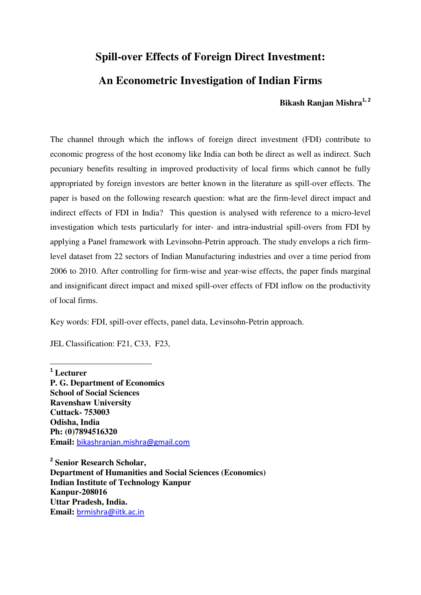# **Spill-over Effects of Foreign Direct Investment:**

# **An Econometric Investigation of Indian Firms**

## **Bikash Ranjan Mishra<sup>1</sup>, <sup>2</sup>**

The channel through which the inflows of foreign direct investment (FDI) contribute to economic progress of the host economy like India can both be direct as well as indirect. Such pecuniary benefits resulting in improved productivity of local firms which cannot be fully appropriated by foreign investors are better known in the literature as spill-over effects. The paper is based on the following research question: what are the firm-level direct impact and indirect effects of FDI in India? This question is analysed with reference to a micro-level investigation which tests particularly for inter- and intra-industrial spill-overs from FDI by applying a Panel framework with Levinsohn-Petrin approach. The study envelops a rich firmlevel dataset from 22 sectors of Indian Manufacturing industries and over a time period from 2006 to 2010. After controlling for firm-wise and year-wise effects, the paper finds marginal and insignificant direct impact and mixed spill-over effects of FDI inflow on the productivity of local firms.

Key words: FDI, spill-over effects, panel data, Levinsohn-Petrin approach.

JEL Classification: F21, C33, F23,

l

**<sup>1</sup> Lecturer P. G. Department of Economics School of Social Sciences Ravenshaw University Cuttack- 753003 Odisha, India Ph: (0)7894516320 Email:** [bikashranjan.mishra@gmail.com](mailto:bikashranjan.mishra@gmail.com)

**2 Senior Research Scholar, Department of Humanities and Social Sciences (Economics) Indian Institute of Technology Kanpur Kanpur-208016 Uttar Pradesh, India. Email:** [brmishra@iitk.ac.in](mailto:brmishra@iitk.ac.in)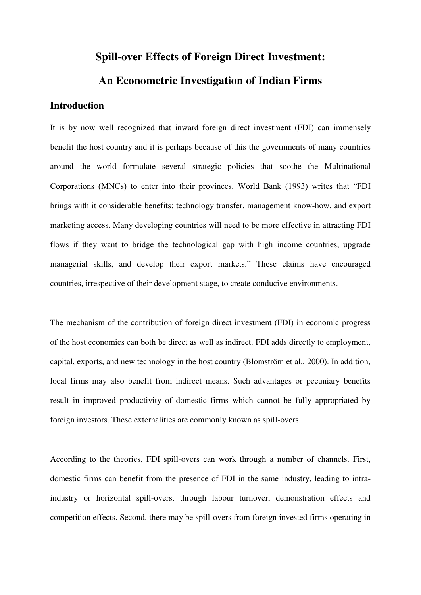# **Spill-over Effects of Foreign Direct Investment: An Econometric Investigation of Indian Firms**

## **Introduction**

It is by now well recognized that inward foreign direct investment (FDI) can immensely benefit the host country and it is perhaps because of this the governments of many countries around the world formulate several strategic policies that soothe the Multinational Corporations (MNCs) to enter into their provinces. World Bank (1993) writes that "FDI brings with it considerable benefits: technology transfer, management know-how, and export marketing access. Many developing countries will need to be more effective in attracting FDI flows if they want to bridge the technological gap with high income countries, upgrade managerial skills, and develop their export markets." These claims have encouraged countries, irrespective of their development stage, to create conducive environments.

The mechanism of the contribution of foreign direct investment (FDI) in economic progress of the host economies can both be direct as well as indirect. FDI adds directly to employment, capital, exports, and new technology in the host country (Blomström et al., 2000). In addition, local firms may also benefit from indirect means. Such advantages or pecuniary benefits result in improved productivity of domestic firms which cannot be fully appropriated by foreign investors. These externalities are commonly known as spill-overs.

According to the theories, FDI spill-overs can work through a number of channels. First, domestic firms can benefit from the presence of FDI in the same industry, leading to intraindustry or horizontal spill-overs, through labour turnover, demonstration effects and competition effects. Second, there may be spill-overs from foreign invested firms operating in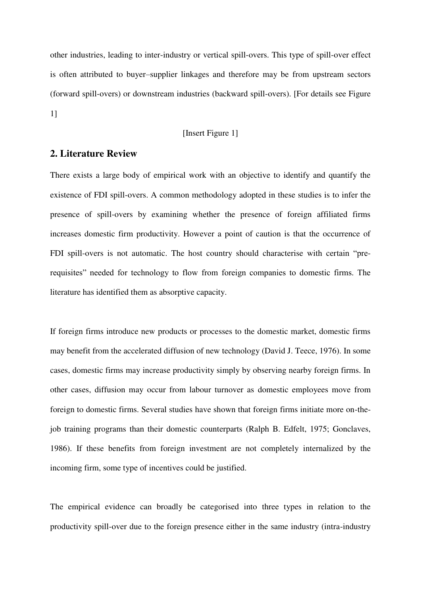other industries, leading to inter-industry or vertical spill-overs. This type of spill-over effect is often attributed to buyer–supplier linkages and therefore may be from upstream sectors (forward spill-overs) or downstream industries (backward spill-overs). [For details see Figure 1]

## [Insert Figure 1]

## **2. Literature Review**

There exists a large body of empirical work with an objective to identify and quantify the existence of FDI spill-overs. A common methodology adopted in these studies is to infer the presence of spill-overs by examining whether the presence of foreign affiliated firms increases domestic firm productivity. However a point of caution is that the occurrence of FDI spill-overs is not automatic. The host country should characterise with certain "prerequisites" needed for technology to flow from foreign companies to domestic firms. The literature has identified them as absorptive capacity.

If foreign firms introduce new products or processes to the domestic market, domestic firms may benefit from the accelerated diffusion of new technology (David J. Teece, 1976). In some cases, domestic firms may increase productivity simply by observing nearby foreign firms. In other cases, diffusion may occur from labour turnover as domestic employees move from foreign to domestic firms. Several studies have shown that foreign firms initiate more on-thejob training programs than their domestic counterparts (Ralph B. Edfelt, 1975; Gonclaves, 1986). If these benefits from foreign investment are not completely internalized by the incoming firm, some type of incentives could be justified.

The empirical evidence can broadly be categorised into three types in relation to the productivity spill-over due to the foreign presence either in the same industry (intra-industry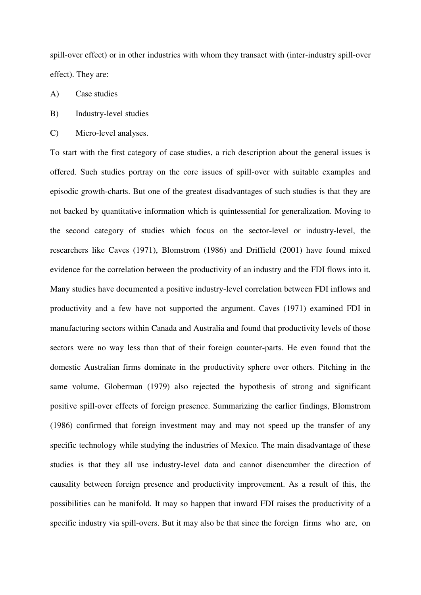spill-over effect) or in other industries with whom they transact with (inter-industry spill-over effect). They are:

- A) Case studies
- B) Industry-level studies
- C) Micro-level analyses.

To start with the first category of case studies, a rich description about the general issues is offered. Such studies portray on the core issues of spill-over with suitable examples and episodic growth-charts. But one of the greatest disadvantages of such studies is that they are not backed by quantitative information which is quintessential for generalization. Moving to the second category of studies which focus on the sector-level or industry-level, the researchers like Caves (1971), Blomstrom (1986) and Driffield (2001) have found mixed evidence for the correlation between the productivity of an industry and the FDI flows into it. Many studies have documented a positive industry-level correlation between FDI inflows and productivity and a few have not supported the argument. Caves (1971) examined FDI in manufacturing sectors within Canada and Australia and found that productivity levels of those sectors were no way less than that of their foreign counter-parts. He even found that the domestic Australian firms dominate in the productivity sphere over others. Pitching in the same volume, Globerman (1979) also rejected the hypothesis of strong and significant positive spill-over effects of foreign presence. Summarizing the earlier findings, Blomstrom (1986) confirmed that foreign investment may and may not speed up the transfer of any specific technology while studying the industries of Mexico. The main disadvantage of these studies is that they all use industry-level data and cannot disencumber the direction of causality between foreign presence and productivity improvement. As a result of this, the possibilities can be manifold. It may so happen that inward FDI raises the productivity of a specific industry via spill-overs. But it may also be that since the foreign firms who are, on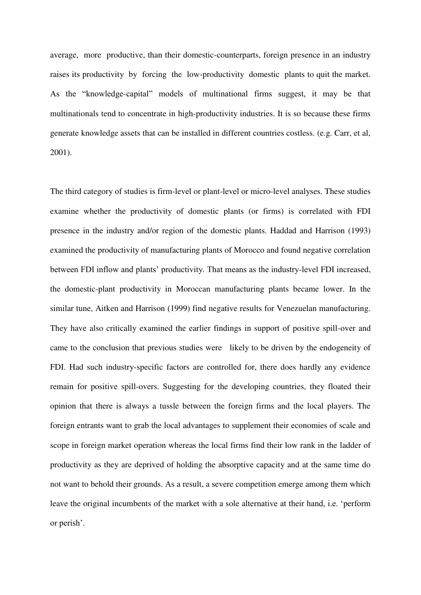average, more productive, than their domestic-counterparts, foreign presence in an industry raises its productivity by forcing the low-productivity domestic plants to quit the market. As the "knowledge-capital" models of multinational firms suggest, it may be that multinationals tend to concentrate in high-productivity industries. It is so because these firms generate knowledge assets that can be installed in different countries costless. (e.g. Carr, et al, 2001).

The third category of studies is firm-level or plant-level or micro-level analyses. These studies examine whether the productivity of domestic plants (or firms) is correlated with FDI presence in the industry and/or region of the domestic plants. Haddad and Harrison (1993) examined the productivity of manufacturing plants of Morocco and found negative correlation between FDI inflow and plants' productivity. That means as the industry-level FDI increased, the domestic-plant productivity in Moroccan manufacturing plants became lower. In the similar tune, Aitken and Harrison (1999) find negative results for Venezuelan manufacturing. They have also critically examined the earlier findings in support of positive spill-over and came to the conclusion that previous studies were likely to be driven by the endogeneity of FDI. Had such industry-specific factors are controlled for, there does hardly any evidence remain for positive spill-overs. Suggesting for the developing countries, they floated their opinion that there is always a tussle between the foreign firms and the local players. The foreign entrants want to grab the local advantages to supplement their economies of scale and scope in foreign market operation whereas the local firms find their low rank in the ladder of productivity as they are deprived of holding the absorptive capacity and at the same time do not want to behold their grounds. As a result, a severe competition emerge among them which leave the original incumbents of the market with a sole alternative at their hand, i.e. 'perform or perish'.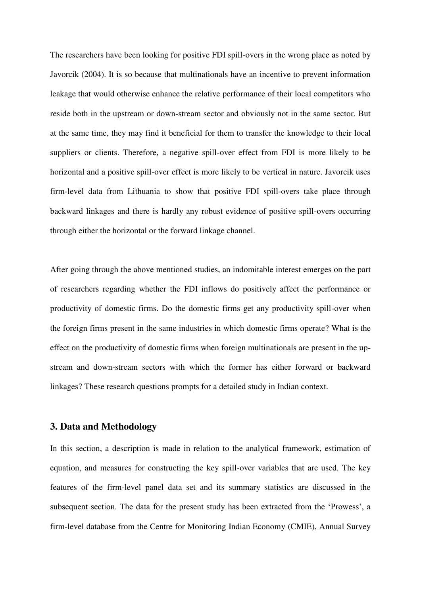The researchers have been looking for positive FDI spill-overs in the wrong place as noted by Javorcik (2004). It is so because that multinationals have an incentive to prevent information leakage that would otherwise enhance the relative performance of their local competitors who reside both in the upstream or down-stream sector and obviously not in the same sector. But at the same time, they may find it beneficial for them to transfer the knowledge to their local suppliers or clients. Therefore, a negative spill-over effect from FDI is more likely to be horizontal and a positive spill-over effect is more likely to be vertical in nature. Javorcik uses firm-level data from Lithuania to show that positive FDI spill-overs take place through backward linkages and there is hardly any robust evidence of positive spill-overs occurring through either the horizontal or the forward linkage channel.

After going through the above mentioned studies, an indomitable interest emerges on the part of researchers regarding whether the FDI inflows do positively affect the performance or productivity of domestic firms. Do the domestic firms get any productivity spill-over when the foreign firms present in the same industries in which domestic firms operate? What is the effect on the productivity of domestic firms when foreign multinationals are present in the upstream and down-stream sectors with which the former has either forward or backward linkages? These research questions prompts for a detailed study in Indian context.

## **3. Data and Methodology**

In this section, a description is made in relation to the analytical framework, estimation of equation, and measures for constructing the key spill-over variables that are used. The key features of the firm-level panel data set and its summary statistics are discussed in the subsequent section. The data for the present study has been extracted from the 'Prowess', a firm-level database from the Centre for Monitoring Indian Economy (CMIE), Annual Survey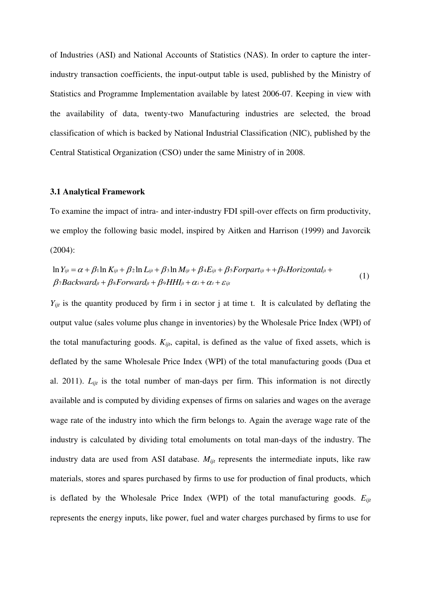of Industries (ASI) and National Accounts of Statistics (NAS). In order to capture the interindustry transaction coefficients, the input-output table is used, published by the Ministry of Statistics and Programme Implementation available by latest 2006-07. Keeping in view with the availability of data, twenty-two Manufacturing industries are selected, the broad classification of which is backed by National Industrial Classification (NIC), published by the Central Statistical Organization (CSO) under the same Ministry of in 2008.

#### **3.1 Analytical Framework**

To examine the impact of intra- and inter-industry FDI spill-over effects on firm productivity, we employ the following basic model, inspired by Aitken and Harrison (1999) and Javorcik (2004):

$$
\ln Y_{ijt} = \alpha + \beta_1 \ln K_{ijt} + \beta_2 \ln L_{ijt} + \beta_3 \ln M_{ijt} + \beta_4 E_{ijt} + \beta_5 \text{Forpart}_{ijt} + \beta_6 \text{Horizontal}_{ji} + \beta_7 \text{Backward}_{jt} + \beta_8 \text{Forward}_{jt} + \beta_9 \text{HH1}_{jt} + \alpha_i + \alpha_t + \varepsilon_{ijt}
$$
\n(1)

 $Y_{ijt}$  is the quantity produced by firm i in sector j at time t. It is calculated by deflating the output value (sales volume plus change in inventories) by the Wholesale Price Index (WPI) of the total manufacturing goods. *Kijt*, capital, is defined as the value of fixed assets, which is deflated by the same Wholesale Price Index (WPI) of the total manufacturing goods (Dua et al. 2011). *Lijt* is the total number of man-days per firm. This information is not directly available and is computed by dividing expenses of firms on salaries and wages on the average wage rate of the industry into which the firm belongs to. Again the average wage rate of the industry is calculated by dividing total emoluments on total man-days of the industry. The industry data are used from ASI database. *Mijt* represents the intermediate inputs, like raw materials, stores and spares purchased by firms to use for production of final products, which is deflated by the Wholesale Price Index (WPI) of the total manufacturing goods. *Eijt* represents the energy inputs, like power, fuel and water charges purchased by firms to use for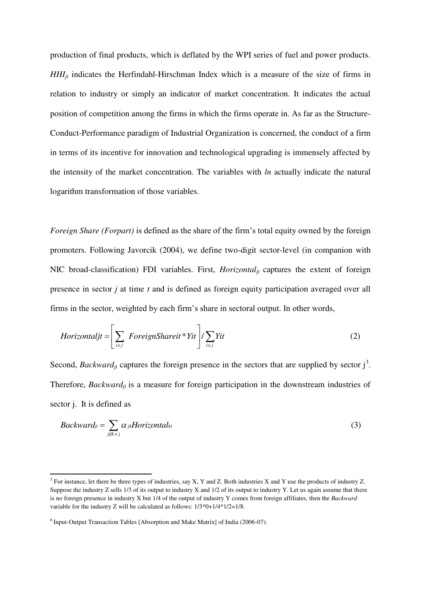production of final products, which is deflated by the WPI series of fuel and power products. *HHI*<sup>*jt*</sup> indicates the Herfindahl-Hirschman Index which is a measure of the size of firms in relation to industry or simply an indicator of market concentration. It indicates the actual position of competition among the firms in which the firms operate in. As far as the Structure-Conduct-Performance paradigm of Industrial Organization is concerned, the conduct of a firm in terms of its incentive for innovation and technological upgrading is immensely affected by the intensity of the market concentration. The variables with *ln* actually indicate the natural logarithm transformation of those variables.

*Foreign Share (Forpart)* is defined as the share of the firm's total equity owned by the foreign promoters. Following Javorcik (2004), we define two-digit sector-level (in companion with NIC broad-classification) FDI variables. First,  $Horizontal_{it}$  captures the extent of foreign presence in sector *j* at time *t* and is defined as foreign equity participation averaged over all firms in the sector, weighted by each firm's share in sectoral output. In other words,

$$
Horizontaljt = \left[ \sum_{i \in j} \left[ \text{ForeignShareit} * Yit \right] / \sum_{i \in j} Yit \right] \tag{2}
$$

Second, *Backward<sub>jt</sub>* captures the foreign presence in the sectors that are supplied by sector  $j^3$ . Therefore, *Backwardjt* is a measure for foreign participation in the downstream industries of sector j. It is defined as

$$
Backward_{jt} = \sum_{j:jk \neq j} \alpha_{jk} Horizontal_{kt}
$$
 (3)

 $\overline{a}$ 

 $3$  For instance, let there be three types of industries, say X, Y and Z. Both industries X and Y use the products of industry Z. Suppose the industry  $Z$  sells 1/3 of its output to industry  $X$  and 1/2 of its output to industry  $Y$ . Let us again assume that there is no foreign presence in industry X but 1/4 of the output of industry Y comes from foreign affiliates, then the *Backward* variable for the industry Z will be calculated as follows: 1/3\*0+1/4\*1/2=1/8.

 $6$  Input-Output Transaction Tables [Absorption and Make Matrix] of India (2006-07).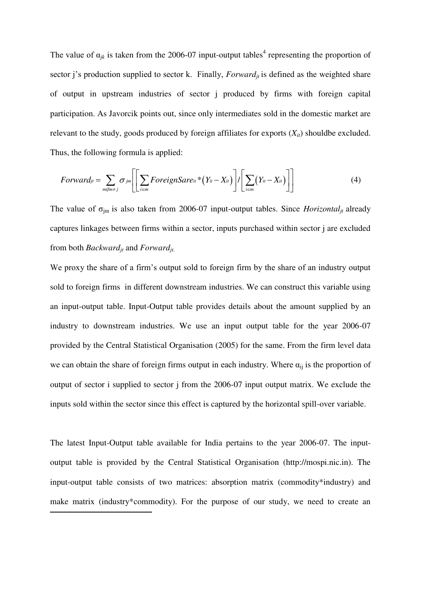The value of  $\alpha_{jk}$  is taken from the 2006-07 input-output tables<sup>4</sup> representing the proportion of sector j's production supplied to sector k. Finally,  $Forward<sub>it</sub>$  is defined as the weighted share of output in upstream industries of sector j produced by firms with foreign capital participation. As Javorcik points out, since only intermediates sold in the domestic market are relevant to the study, goods produced by foreign affiliates for exports  $(X_{it})$  shouldbe excluded. Thus, the following formula is applied:

$$
Forward_{ji} = \sum_{mifm \neq j} \sigma_{jm} \left[ \left[ \sum_{i \in m} ForeignSare_{it} * (Y_{it} - X_{it}) \right] / \left[ \sum_{i \in m} (Y_{it} - X_{it}) \right] \right]
$$
(4)

The value of  $\sigma_{\text{im}}$  is also taken from 2006-07 input-output tables. Since *Horizontal<sub>jt</sub>* already captures linkages between firms within a sector, inputs purchased within sector j are excluded from both *Backwardjt* and *Forwardjt*.

We proxy the share of a firm's output sold to foreign firm by the share of an industry output sold to foreign firms in different downstream industries. We can construct this variable using an input-output table. Input-Output table provides details about the amount supplied by an industry to downstream industries. We use an input output table for the year 2006-07 provided by the Central Statistical Organisation (2005) for the same. From the firm level data we can obtain the share of foreign firms output in each industry. Where  $\alpha_{ij}$  is the proportion of output of sector i supplied to sector j from the 2006-07 input output matrix. We exclude the inputs sold within the sector since this effect is captured by the horizontal spill-over variable.

The latest Input-Output table available for India pertains to the year 2006-07. The inputoutput table is provided by the Central Statistical Organisation (http://mospi.nic.in). The input-output table consists of two matrices: absorption matrix (commodity\*industry) and make matrix (industry\*commodity). For the purpose of our study, we need to create an

 $\overline{a}$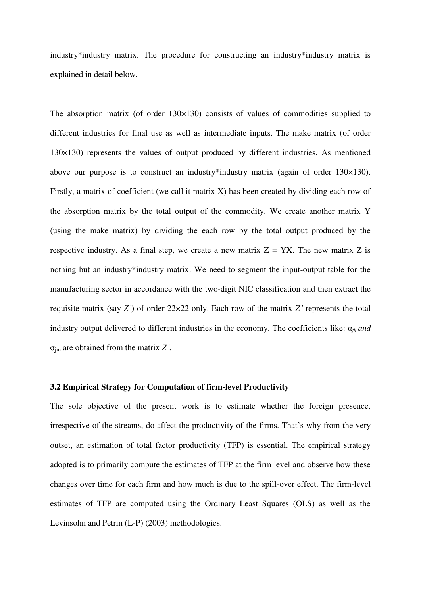industry\*industry matrix. The procedure for constructing an industry\*industry matrix is explained in detail below.

The absorption matrix (of order 130×130) consists of values of commodities supplied to different industries for final use as well as intermediate inputs. The make matrix (of order 130×130) represents the values of output produced by different industries. As mentioned above our purpose is to construct an industry\*industry matrix (again of order 130×130). Firstly, a matrix of coefficient (we call it matrix X) has been created by dividing each row of the absorption matrix by the total output of the commodity. We create another matrix Y (using the make matrix) by dividing the each row by the total output produced by the respective industry. As a final step, we create a new matrix  $Z = YX$ . The new matrix Z is nothing but an industry\*industry matrix. We need to segment the input-output table for the manufacturing sector in accordance with the two-digit NIC classification and then extract the requisite matrix (say *Z'*) of order 22×22 only. Each row of the matrix *Z'* represents the total industry output delivered to different industries in the economy. The coefficients like:  $a_{ik}$  *and* σjm are obtained from the matrix *Z'.* 

### **3.2 Empirical Strategy for Computation of firm-level Productivity**

The sole objective of the present work is to estimate whether the foreign presence, irrespective of the streams, do affect the productivity of the firms. That's why from the very outset, an estimation of total factor productivity (TFP) is essential. The empirical strategy adopted is to primarily compute the estimates of TFP at the firm level and observe how these changes over time for each firm and how much is due to the spill-over effect. The firm-level estimates of TFP are computed using the Ordinary Least Squares (OLS) as well as the Levinsohn and Petrin (L-P) (2003) methodologies.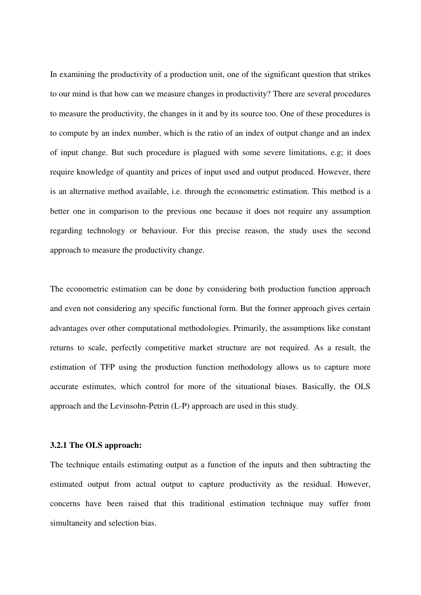In examining the productivity of a production unit, one of the significant question that strikes to our mind is that how can we measure changes in productivity? There are several procedures to measure the productivity, the changes in it and by its source too. One of these procedures is to compute by an index number, which is the ratio of an index of output change and an index of input change. But such procedure is plagued with some severe limitations, e.g; it does require knowledge of quantity and prices of input used and output produced. However, there is an alternative method available, i.e. through the econometric estimation. This method is a better one in comparison to the previous one because it does not require any assumption regarding technology or behaviour. For this precise reason, the study uses the second approach to measure the productivity change.

The econometric estimation can be done by considering both production function approach and even not considering any specific functional form. But the former approach gives certain advantages over other computational methodologies. Primarily, the assumptions like constant returns to scale, perfectly competitive market structure are not required. As a result, the estimation of TFP using the production function methodology allows us to capture more accurate estimates, which control for more of the situational biases. Basically, the OLS approach and the Levinsohn-Petrin (L-P) approach are used in this study.

## **3.2.1 The OLS approach:**

The technique entails estimating output as a function of the inputs and then subtracting the estimated output from actual output to capture productivity as the residual. However, concerns have been raised that this traditional estimation technique may suffer from simultaneity and selection bias.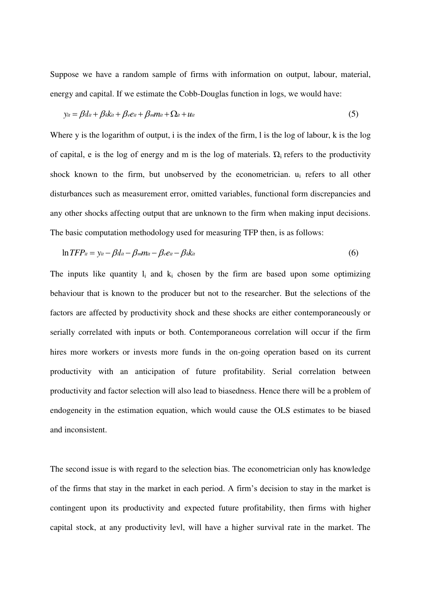Suppose we have a random sample of firms with information on output, labour, material, energy and capital. If we estimate the Cobb-Douglas function in logs, we would have:

$$
y_{it} = \beta l_{it} + \beta_k k_{it} + \beta_e e_{it} + \beta_m m_{it} + \Omega_{it} + u_{it}
$$
\n
$$
(5)
$$

Where y is the logarithm of output, i is the index of the firm, l is the log of labour, k is the log of capital, e is the log of energy and m is the log of materials.  $\Omega_i$  refers to the productivity shock known to the firm, but unobserved by the econometrician. u<sub>i</sub> refers to all other disturbances such as measurement error, omitted variables, functional form discrepancies and any other shocks affecting output that are unknown to the firm when making input decisions. The basic computation methodology used for measuring TFP then, is as follows:

$$
\ln TFP_{it} = y_{it} - \beta_{il} - \beta_{m}m_{it} - \beta_{e}e_{it} - \beta_{k}k_{it}
$$
\n
$$
(6)
$$

The inputs like quantity  $l_i$  and  $k_i$  chosen by the firm are based upon some optimizing behaviour that is known to the producer but not to the researcher. But the selections of the factors are affected by productivity shock and these shocks are either contemporaneously or serially correlated with inputs or both. Contemporaneous correlation will occur if the firm hires more workers or invests more funds in the on-going operation based on its current productivity with an anticipation of future profitability. Serial correlation between productivity and factor selection will also lead to biasedness. Hence there will be a problem of endogeneity in the estimation equation, which would cause the OLS estimates to be biased and inconsistent.

The second issue is with regard to the selection bias. The econometrician only has knowledge of the firms that stay in the market in each period. A firm's decision to stay in the market is contingent upon its productivity and expected future profitability, then firms with higher capital stock, at any productivity levl, will have a higher survival rate in the market. The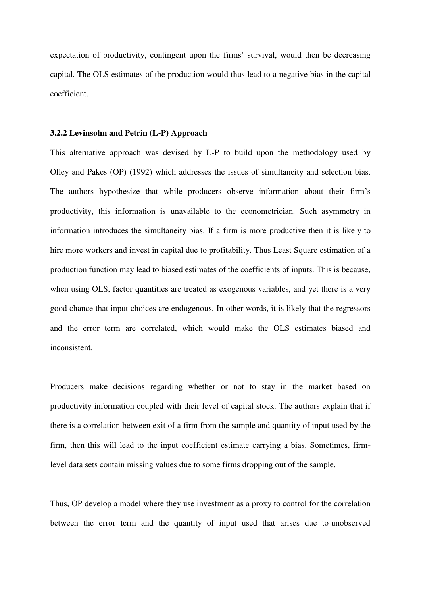expectation of productivity, contingent upon the firms' survival, would then be decreasing capital. The OLS estimates of the production would thus lead to a negative bias in the capital coefficient.

#### **3.2.2 Levinsohn and Petrin (L-P) Approach**

This alternative approach was devised by L-P to build upon the methodology used by Olley and Pakes (OP) (1992) which addresses the issues of simultaneity and selection bias. The authors hypothesize that while producers observe information about their firm's productivity, this information is unavailable to the econometrician. Such asymmetry in information introduces the simultaneity bias. If a firm is more productive then it is likely to hire more workers and invest in capital due to profitability. Thus Least Square estimation of a production function may lead to biased estimates of the coefficients of inputs. This is because, when using OLS, factor quantities are treated as exogenous variables, and yet there is a very good chance that input choices are endogenous. In other words, it is likely that the regressors and the error term are correlated, which would make the OLS estimates biased and inconsistent.

Producers make decisions regarding whether or not to stay in the market based on productivity information coupled with their level of capital stock. The authors explain that if there is a correlation between exit of a firm from the sample and quantity of input used by the firm, then this will lead to the input coefficient estimate carrying a bias. Sometimes, firmlevel data sets contain missing values due to some firms dropping out of the sample.

Thus, OP develop a model where they use investment as a proxy to control for the correlation between the error term and the quantity of input used that arises due to unobserved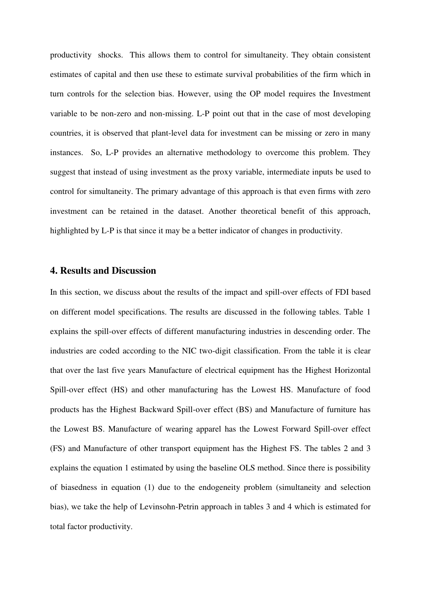productivity shocks. This allows them to control for simultaneity. They obtain consistent estimates of capital and then use these to estimate survival probabilities of the firm which in turn controls for the selection bias. However, using the OP model requires the Investment variable to be non-zero and non-missing. L-P point out that in the case of most developing countries, it is observed that plant-level data for investment can be missing or zero in many instances. So, L-P provides an alternative methodology to overcome this problem. They suggest that instead of using investment as the proxy variable, intermediate inputs be used to control for simultaneity. The primary advantage of this approach is that even firms with zero investment can be retained in the dataset. Another theoretical benefit of this approach, highlighted by L-P is that since it may be a better indicator of changes in productivity.

## **4. Results and Discussion**

In this section, we discuss about the results of the impact and spill-over effects of FDI based on different model specifications. The results are discussed in the following tables. Table 1 explains the spill-over effects of different manufacturing industries in descending order. The industries are coded according to the NIC two-digit classification. From the table it is clear that over the last five years Manufacture of electrical equipment has the Highest Horizontal Spill-over effect (HS) and other manufacturing has the Lowest HS. Manufacture of food products has the Highest Backward Spill-over effect (BS) and Manufacture of furniture has the Lowest BS. Manufacture of wearing apparel has the Lowest Forward Spill-over effect (FS) and Manufacture of other transport equipment has the Highest FS. The tables 2 and 3 explains the equation 1 estimated by using the baseline OLS method. Since there is possibility of biasedness in equation (1) due to the endogeneity problem (simultaneity and selection bias), we take the help of Levinsohn-Petrin approach in tables 3 and 4 which is estimated for total factor productivity.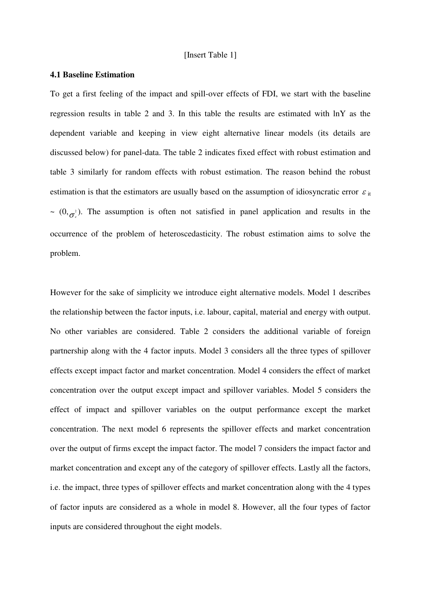#### [Insert Table 1]

## **4.1 Baseline Estimation**

To get a first feeling of the impact and spill-over effects of FDI, we start with the baseline regression results in table 2 and 3. In this table the results are estimated with lnY as the dependent variable and keeping in view eight alternative linear models (its details are discussed below) for panel-data. The table 2 indicates fixed effect with robust estimation and table 3 similarly for random effects with robust estimation. The reason behind the robust estimation is that the estimators are usually based on the assumption of idiosyncratic error  $\varepsilon_{\text{it}}$  $\sim (0, \sigma_{\epsilon}^2)$ . The assumption is often not satisfied in panel application and results in the occurrence of the problem of heteroscedasticity. The robust estimation aims to solve the problem.

However for the sake of simplicity we introduce eight alternative models. Model 1 describes the relationship between the factor inputs, i.e. labour, capital, material and energy with output. No other variables are considered. Table 2 considers the additional variable of foreign partnership along with the 4 factor inputs. Model 3 considers all the three types of spillover effects except impact factor and market concentration. Model 4 considers the effect of market concentration over the output except impact and spillover variables. Model 5 considers the effect of impact and spillover variables on the output performance except the market concentration. The next model 6 represents the spillover effects and market concentration over the output of firms except the impact factor. The model 7 considers the impact factor and market concentration and except any of the category of spillover effects. Lastly all the factors, i.e. the impact, three types of spillover effects and market concentration along with the 4 types of factor inputs are considered as a whole in model 8. However, all the four types of factor inputs are considered throughout the eight models.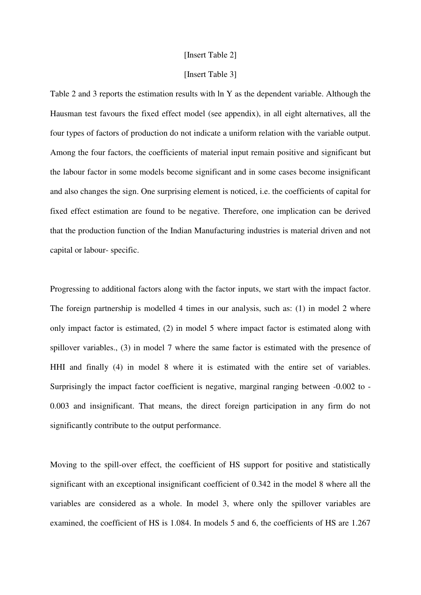#### [Insert Table 2]

#### [Insert Table 3]

Table 2 and 3 reports the estimation results with ln Y as the dependent variable. Although the Hausman test favours the fixed effect model (see appendix), in all eight alternatives, all the four types of factors of production do not indicate a uniform relation with the variable output. Among the four factors, the coefficients of material input remain positive and significant but the labour factor in some models become significant and in some cases become insignificant and also changes the sign. One surprising element is noticed, i.e. the coefficients of capital for fixed effect estimation are found to be negative. Therefore, one implication can be derived that the production function of the Indian Manufacturing industries is material driven and not capital or labour- specific.

Progressing to additional factors along with the factor inputs, we start with the impact factor. The foreign partnership is modelled 4 times in our analysis, such as: (1) in model 2 where only impact factor is estimated, (2) in model 5 where impact factor is estimated along with spillover variables., (3) in model 7 where the same factor is estimated with the presence of HHI and finally (4) in model 8 where it is estimated with the entire set of variables. Surprisingly the impact factor coefficient is negative, marginal ranging between -0.002 to - 0.003 and insignificant. That means, the direct foreign participation in any firm do not significantly contribute to the output performance.

Moving to the spill-over effect, the coefficient of HS support for positive and statistically significant with an exceptional insignificant coefficient of 0.342 in the model 8 where all the variables are considered as a whole. In model 3, where only the spillover variables are examined, the coefficient of HS is 1.084. In models 5 and 6, the coefficients of HS are 1.267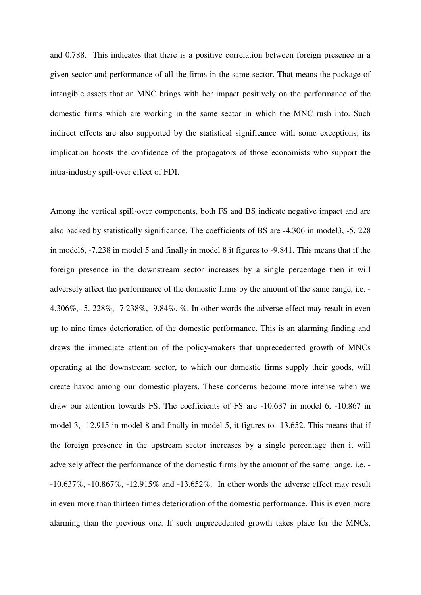and 0.788. This indicates that there is a positive correlation between foreign presence in a given sector and performance of all the firms in the same sector. That means the package of intangible assets that an MNC brings with her impact positively on the performance of the domestic firms which are working in the same sector in which the MNC rush into. Such indirect effects are also supported by the statistical significance with some exceptions; its implication boosts the confidence of the propagators of those economists who support the intra-industry spill-over effect of FDI.

Among the vertical spill-over components, both FS and BS indicate negative impact and are also backed by statistically significance. The coefficients of BS are -4.306 in model3, -5. 228 in model6, -7.238 in model 5 and finally in model 8 it figures to -9.841. This means that if the foreign presence in the downstream sector increases by a single percentage then it will adversely affect the performance of the domestic firms by the amount of the same range, i.e. - 4.306%, -5. 228%, -7.238%, -9.84%. %. In other words the adverse effect may result in even up to nine times deterioration of the domestic performance. This is an alarming finding and draws the immediate attention of the policy-makers that unprecedented growth of MNCs operating at the downstream sector, to which our domestic firms supply their goods, will create havoc among our domestic players. These concerns become more intense when we draw our attention towards FS. The coefficients of FS are -10.637 in model 6, -10.867 in model 3, -12.915 in model 8 and finally in model 5, it figures to -13.652. This means that if the foreign presence in the upstream sector increases by a single percentage then it will adversely affect the performance of the domestic firms by the amount of the same range, i.e. - -10.637%, -10.867%, -12.915% and -13.652%. In other words the adverse effect may result in even more than thirteen times deterioration of the domestic performance. This is even more alarming than the previous one. If such unprecedented growth takes place for the MNCs,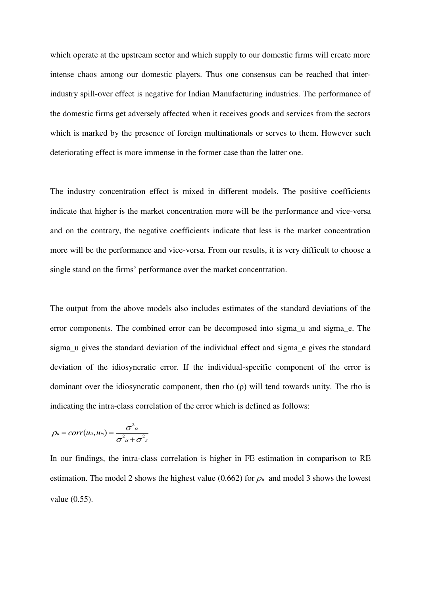which operate at the upstream sector and which supply to our domestic firms will create more intense chaos among our domestic players. Thus one consensus can be reached that interindustry spill-over effect is negative for Indian Manufacturing industries. The performance of the domestic firms get adversely affected when it receives goods and services from the sectors which is marked by the presence of foreign multinationals or serves to them. However such deteriorating effect is more immense in the former case than the latter one.

The industry concentration effect is mixed in different models. The positive coefficients indicate that higher is the market concentration more will be the performance and vice-versa and on the contrary, the negative coefficients indicate that less is the market concentration more will be the performance and vice-versa. From our results, it is very difficult to choose a single stand on the firms' performance over the market concentration.

The output from the above models also includes estimates of the standard deviations of the error components. The combined error can be decomposed into sigma\_u and sigma\_e. The sigma u gives the standard deviation of the individual effect and sigma e gives the standard deviation of the idiosyncratic error. If the individual-specific component of the error is dominant over the idiosyncratic component, then rho (ρ) will tend towards unity. The rho is indicating the intra-class correlation of the error which is defined as follows:

$$
\rho_u = corr(u_{it}, u_{is}) = \frac{\sigma^2 a}{\sigma^2 a + \sigma^2 s}
$$

In our findings, the intra-class correlation is higher in FE estimation in comparison to RE estimation. The model 2 shows the highest value (0.662) for  $\rho_u$  and model 3 shows the lowest value (0.55).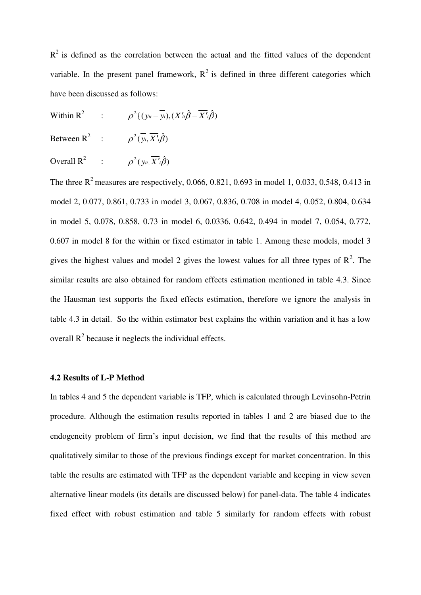$R<sup>2</sup>$  is defined as the correlation between the actual and the fitted values of the dependent variable. In the present panel framework,  $R^2$  is defined in three different categories which have been discussed as follows:

Within  $R^2$ :  $\rho^2 \{ (y_{it} - \overline{y_i}), (X'_{it}\hat{\beta} - \overline{X'}_i\hat{\beta})$ 

Between R<sup>2</sup> :  $\rho^2(\overline{y_i}, \overline{X'}_i\hat{\beta})$ 

Overall  $R^2$  :  $\rho^2(y_{it}, \overline{X'}_i \hat{\beta})$ 

The three  $R^2$  measures are respectively, 0.066, 0.821, 0.693 in model 1, 0.033, 0.548, 0.413 in model 2, 0.077, 0.861, 0.733 in model 3, 0.067, 0.836, 0.708 in model 4, 0.052, 0.804, 0.634 in model 5, 0.078, 0.858, 0.73 in model 6, 0.0336, 0.642, 0.494 in model 7, 0.054, 0.772, 0.607 in model 8 for the within or fixed estimator in table 1. Among these models, model 3 gives the highest values and model 2 gives the lowest values for all three types of  $\mathbb{R}^2$ . The similar results are also obtained for random effects estimation mentioned in table 4.3. Since the Hausman test supports the fixed effects estimation, therefore we ignore the analysis in table 4.3 in detail. So the within estimator best explains the within variation and it has a low overall  $R^2$  because it neglects the individual effects.

#### **4.2 Results of L-P Method**

In tables 4 and 5 the dependent variable is TFP, which is calculated through Levinsohn-Petrin procedure. Although the estimation results reported in tables 1 and 2 are biased due to the endogeneity problem of firm's input decision, we find that the results of this method are qualitatively similar to those of the previous findings except for market concentration. In this table the results are estimated with TFP as the dependent variable and keeping in view seven alternative linear models (its details are discussed below) for panel-data. The table 4 indicates fixed effect with robust estimation and table 5 similarly for random effects with robust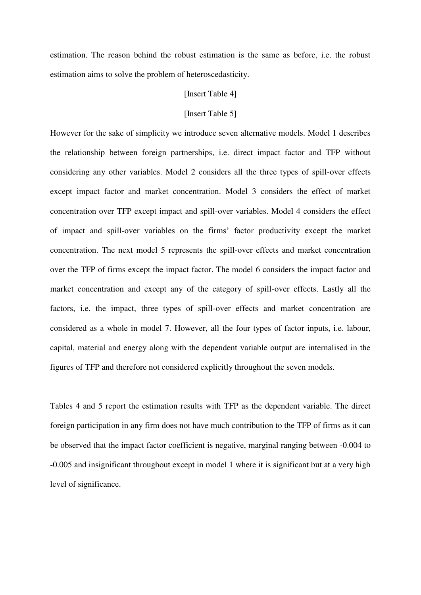estimation. The reason behind the robust estimation is the same as before, i.e. the robust estimation aims to solve the problem of heteroscedasticity.

#### [Insert Table 4]

## [Insert Table 5]

However for the sake of simplicity we introduce seven alternative models. Model 1 describes the relationship between foreign partnerships, i.e. direct impact factor and TFP without considering any other variables. Model 2 considers all the three types of spill-over effects except impact factor and market concentration. Model 3 considers the effect of market concentration over TFP except impact and spill-over variables. Model 4 considers the effect of impact and spill-over variables on the firms' factor productivity except the market concentration. The next model 5 represents the spill-over effects and market concentration over the TFP of firms except the impact factor. The model 6 considers the impact factor and market concentration and except any of the category of spill-over effects. Lastly all the factors, i.e. the impact, three types of spill-over effects and market concentration are considered as a whole in model 7. However, all the four types of factor inputs, i.e. labour, capital, material and energy along with the dependent variable output are internalised in the figures of TFP and therefore not considered explicitly throughout the seven models.

Tables 4 and 5 report the estimation results with TFP as the dependent variable. The direct foreign participation in any firm does not have much contribution to the TFP of firms as it can be observed that the impact factor coefficient is negative, marginal ranging between -0.004 to -0.005 and insignificant throughout except in model 1 where it is significant but at a very high level of significance.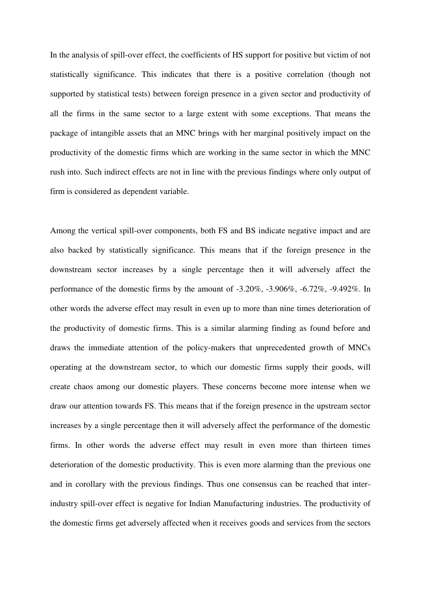In the analysis of spill-over effect, the coefficients of HS support for positive but victim of not statistically significance. This indicates that there is a positive correlation (though not supported by statistical tests) between foreign presence in a given sector and productivity of all the firms in the same sector to a large extent with some exceptions. That means the package of intangible assets that an MNC brings with her marginal positively impact on the productivity of the domestic firms which are working in the same sector in which the MNC rush into. Such indirect effects are not in line with the previous findings where only output of firm is considered as dependent variable.

Among the vertical spill-over components, both FS and BS indicate negative impact and are also backed by statistically significance. This means that if the foreign presence in the downstream sector increases by a single percentage then it will adversely affect the performance of the domestic firms by the amount of -3.20%, -3.906%, -6.72%, -9.492%. In other words the adverse effect may result in even up to more than nine times deterioration of the productivity of domestic firms. This is a similar alarming finding as found before and draws the immediate attention of the policy-makers that unprecedented growth of MNCs operating at the downstream sector, to which our domestic firms supply their goods, will create chaos among our domestic players. These concerns become more intense when we draw our attention towards FS. This means that if the foreign presence in the upstream sector increases by a single percentage then it will adversely affect the performance of the domestic firms. In other words the adverse effect may result in even more than thirteen times deterioration of the domestic productivity. This is even more alarming than the previous one and in corollary with the previous findings. Thus one consensus can be reached that interindustry spill-over effect is negative for Indian Manufacturing industries. The productivity of the domestic firms get adversely affected when it receives goods and services from the sectors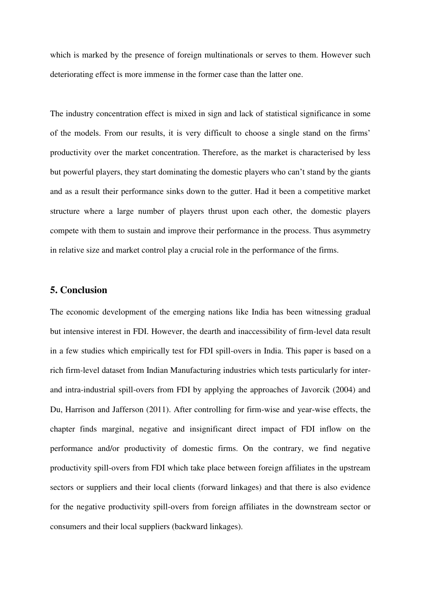which is marked by the presence of foreign multinationals or serves to them. However such deteriorating effect is more immense in the former case than the latter one.

The industry concentration effect is mixed in sign and lack of statistical significance in some of the models. From our results, it is very difficult to choose a single stand on the firms' productivity over the market concentration. Therefore, as the market is characterised by less but powerful players, they start dominating the domestic players who can't stand by the giants and as a result their performance sinks down to the gutter. Had it been a competitive market structure where a large number of players thrust upon each other, the domestic players compete with them to sustain and improve their performance in the process. Thus asymmetry in relative size and market control play a crucial role in the performance of the firms.

## **5. Conclusion**

The economic development of the emerging nations like India has been witnessing gradual but intensive interest in FDI. However, the dearth and inaccessibility of firm-level data result in a few studies which empirically test for FDI spill-overs in India. This paper is based on a rich firm-level dataset from Indian Manufacturing industries which tests particularly for interand intra-industrial spill-overs from FDI by applying the approaches of Javorcik (2004) and Du, Harrison and Jafferson (2011). After controlling for firm-wise and year-wise effects, the chapter finds marginal, negative and insignificant direct impact of FDI inflow on the performance and/or productivity of domestic firms. On the contrary, we find negative productivity spill-overs from FDI which take place between foreign affiliates in the upstream sectors or suppliers and their local clients (forward linkages) and that there is also evidence for the negative productivity spill-overs from foreign affiliates in the downstream sector or consumers and their local suppliers (backward linkages).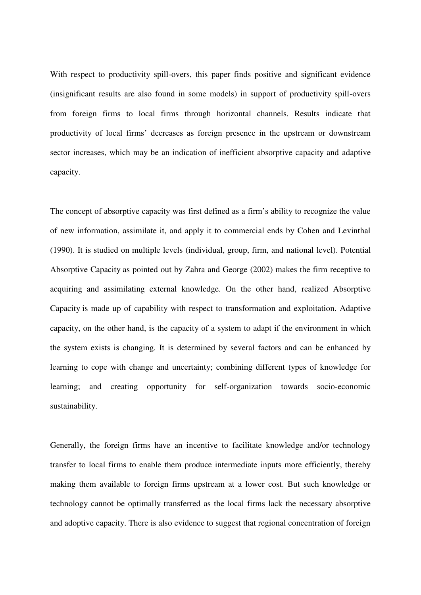With respect to productivity spill-overs, this paper finds positive and significant evidence (insignificant results are also found in some models) in support of productivity spill-overs from foreign firms to local firms through horizontal channels. Results indicate that productivity of local firms' decreases as foreign presence in the upstream or downstream sector increases, which may be an indication of inefficient absorptive capacity and adaptive capacity.

The concept of absorptive capacity was first defined as a firm's ability to recognize the value of new information, assimilate it, and apply it to commercial ends by Cohen and Levinthal (1990). It is studied on multiple levels (individual, group, firm, and national level). Potential Absorptive Capacity as pointed out by Zahra and George (2002) makes the firm receptive to acquiring and assimilating external knowledge. On the other hand, realized Absorptive Capacity is made up of capability with respect to transformation and exploitation. Adaptive capacity, on the other hand, is the capacity of a [system](http://en.wikipedia.org/wiki/System) to adapt if the environment in which the system exists is changing. It is determined by several factors and can be enhanced by learning to cope with change and uncertainty; combining different types of knowledge for learning; and creating opportunity for self-organization towards socio-economic sustainability.

Generally, the foreign firms have an incentive to facilitate knowledge and/or technology transfer to local firms to enable them produce intermediate inputs more efficiently, thereby making them available to foreign firms upstream at a lower cost. But such knowledge or technology cannot be optimally transferred as the local firms lack the necessary absorptive and adoptive capacity. There is also evidence to suggest that regional concentration of foreign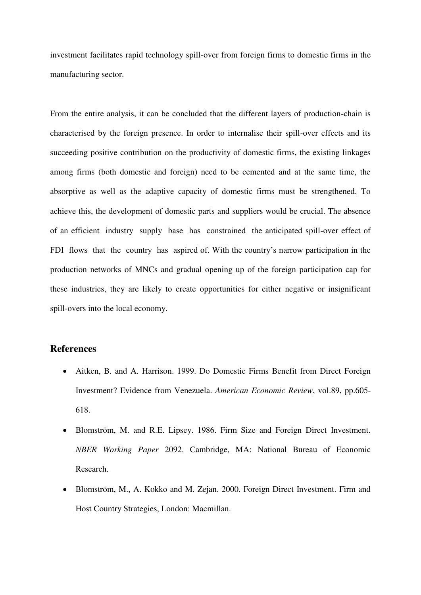investment facilitates rapid technology spill-over from foreign firms to domestic firms in the manufacturing sector.

From the entire analysis, it can be concluded that the different layers of production-chain is characterised by the foreign presence. In order to internalise their spill-over effects and its succeeding positive contribution on the productivity of domestic firms, the existing linkages among firms (both domestic and foreign) need to be cemented and at the same time, the absorptive as well as the adaptive capacity of domestic firms must be strengthened. To achieve this, the development of domestic parts and suppliers would be crucial. The absence of an efficient industry supply base has constrained the anticipated spill-over effect of FDI flows that the country has aspired of. With the country's narrow participation in the production networks of MNCs and gradual opening up of the foreign participation cap for these industries, they are likely to create opportunities for either negative or insignificant spill-overs into the local economy.

## **References**

- Aitken, B. and A. Harrison. 1999. Do Domestic Firms Benefit from Direct Foreign Investment? Evidence from Venezuela. *American Economic Review*, vol.89, pp.605- 618.
- Blomström, M. and R.E. Lipsey. 1986. Firm Size and Foreign Direct Investment. *NBER Working Paper* 2092. Cambridge, MA: National Bureau of Economic Research.
- Blomström, M., A. Kokko and M. Zejan. 2000. Foreign Direct Investment. Firm and Host Country Strategies, London: Macmillan.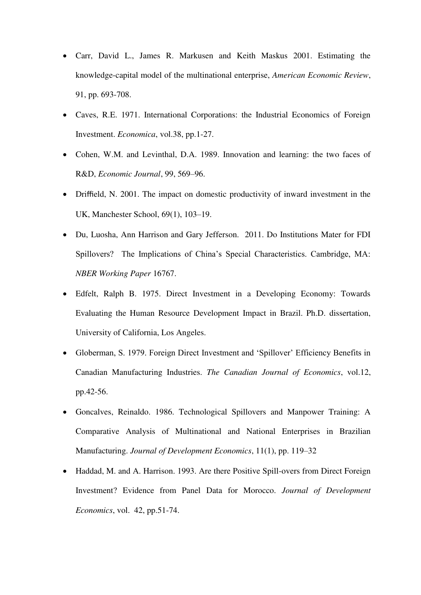- Carr, David L., James R. Markusen and Keith Maskus 2001. Estimating the knowledge-capital model of the multinational enterprise, *American Economic Review*, 91, pp. 693-708.
- Caves, R.E. 1971. International Corporations: the Industrial Economics of Foreign Investment. *Economica*, vol.38, pp.1-27.
- Cohen, W.M. and Levinthal, D.A. 1989. Innovation and learning: the two faces of R&D, *Economic Journal*, 99, 569–96.
- Driffield, N. 2001. The impact on domestic productivity of inward investment in the UK, Manchester School, 69(1), 103–19.
- Du, Luosha, Ann Harrison and Gary Jefferson. 2011. Do Institutions Mater for FDI Spillovers? The Implications of China's Special Characteristics. Cambridge, MA: *NBER Working Paper* 16767.
- Edfelt, Ralph B. 1975. Direct Investment in a Developing Economy: Towards Evaluating the Human Resource Development Impact in Brazil. Ph.D. dissertation, University of California, Los Angeles.
- Globerman, S. 1979. Foreign Direct Investment and 'Spillover' Efficiency Benefits in Canadian Manufacturing Industries. *The Canadian Journal of Economics*, vol.12, pp.42-56.
- Goncalves, Reinaldo. 1986. Technological Spillovers and Manpower Training: A Comparative Analysis of Multinational and National Enterprises in Brazilian Manufacturing. *Journal of Development Economics*, 11(1), pp. 119–32
- Haddad, M. and A. Harrison. 1993. Are there Positive Spill-overs from Direct Foreign Investment? Evidence from Panel Data for Morocco. *Journal of Development Economics*, vol. 42, pp.51-74.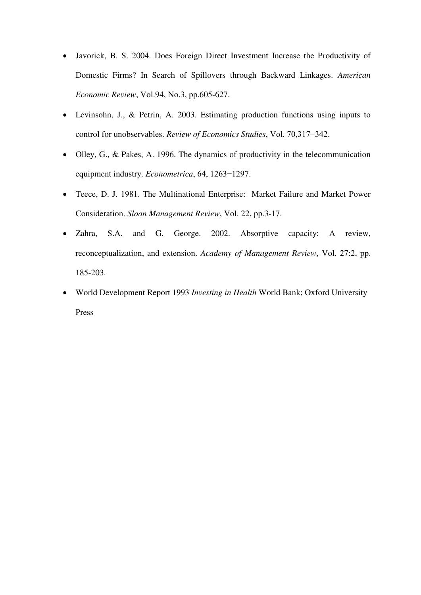- Javorick, B. S. 2004. Does Foreign Direct Investment Increase the Productivity of Domestic Firms? In Search of Spillovers through Backward Linkages. *American Economic Review*, Vol.94, No.3, pp.605-627.
- Levinsohn, J., & Petrin, A. 2003. Estimating production functions using inputs to control for unobservables. *Review of Economics Studies*, Vol. 70,317−342.
- Olley, G., & Pakes, A. 1996. The dynamics of productivity in the telecommunication equipment industry. *Econometrica*, 64, 1263−1297.
- Teece, D. J. 1981. The Multinational Enterprise: Market Failure and Market Power Consideration. *Sloan Management Review*, Vol. 22, pp.3-17.
- Zahra, S.A. and G. George. 2002. Absorptive capacity: A review, reconceptualization, and extension. *Academy of Management Review*, Vol. 27:2, pp. 185-203.
- World Development Report 1993 *Investing in Health* World Bank; Oxford University Press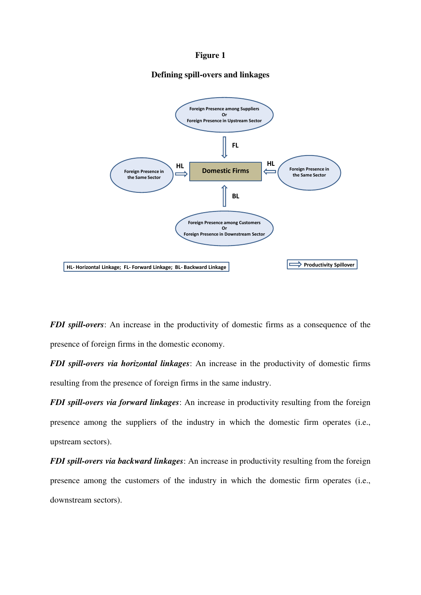## **Figure 1**

## **Defining spill-overs and linkages**



*FDI spill-overs*: An increase in the productivity of domestic firms as a consequence of the presence of foreign firms in the domestic economy.

*FDI spill-overs via horizontal linkages*: An increase in the productivity of domestic firms resulting from the presence of foreign firms in the same industry.

*FDI spill-overs via forward linkages*: An increase in productivity resulting from the foreign presence among the suppliers of the industry in which the domestic firm operates (i.e., upstream sectors).

*FDI spill-overs via backward linkages*: An increase in productivity resulting from the foreign presence among the customers of the industry in which the domestic firm operates (i.e., downstream sectors).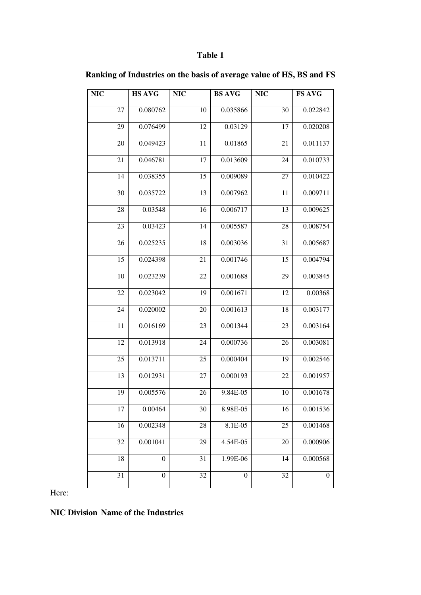# **Table 1**

| <b>NIC</b> | <b>HS AVG</b>    | <b>NIC</b> | <b>BS AVG</b>    | <b>NIC</b>      | <b>FS AVG</b>    |
|------------|------------------|------------|------------------|-----------------|------------------|
| 27         | 0.080762         | 10         | 0.035866         | 30              | 0.022842         |
|            |                  |            |                  |                 |                  |
| 29         | 0.076499         | 12         | 0.03129          | 17              | 0.020208         |
| 20         | 0.049423         | 11         | 0.01865          | 21              | 0.011137         |
| 21         | 0.046781         | 17         | 0.013609         | 24              | 0.010733         |
| 14         | 0.038355         | 15         | 0.009089         | 27              | 0.010422         |
| 30         | 0.035722         | 13         | 0.007962         | 11              | 0.009711         |
| 28         | 0.03548          | 16         | 0.006717         | 13              | 0.009625         |
| 23         | 0.03423          | 14         | 0.005587         | 28              | 0.008754         |
| 26         | 0.025235         | 18         | 0.003036         | 31              | 0.005687         |
| 15         | 0.024398         | 21         | 0.001746         | 15              | 0.004794         |
| 10         | 0.023239         | 22         | 0.001688         | 29              | 0.003845         |
| 22         | 0.023042         | 19         | 0.001671         | 12              | 0.00368          |
| 24         | 0.020002         | 20         | 0.001613         | 18              | 0.003177         |
| 11         | 0.016169         | 23         | 0.001344         | 23              | 0.003164         |
| 12         | 0.013918         | 24         | 0.000736         | 26              | 0.003081         |
| 25         | 0.013711         | 25         | 0.000404         | 19              | 0.002546         |
| 13         | 0.012931         | 27         | 0.000193         | 22              | 0.001957         |
| 19         | 0.005576         | 26         | 9.84E-05         | 10              | 0.001678         |
| 17         | 0.00464          | 30         | 8.98E-05         | 16              | 0.001536         |
| 16         | 0.002348         | 28         | 8.1E-05          | 25              | 0.001468         |
| 32         | 0.001041         | 29         | 4.54E-05         | $\overline{2}0$ | 0.000906         |
| 18         | $\boldsymbol{0}$ | 31         | 1.99E-06         | 14              | 0.000568         |
| 31         | $\boldsymbol{0}$ | 32         | $\boldsymbol{0}$ | 32              | $\boldsymbol{0}$ |

**Ranking of Industries on the basis of average value of HS, BS and FS**

Here:

**NIC Division Name of the Industries**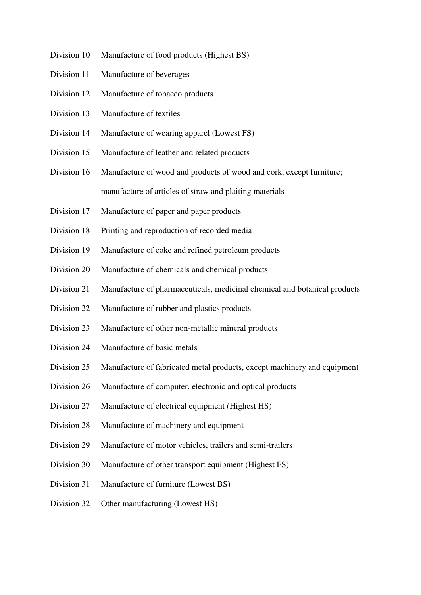- Division 10 Manufacture of food products (Highest BS)
- Division 11 Manufacture of beverages
- Division 12 Manufacture of tobacco products
- Division 13 Manufacture of textiles
- Division 14 Manufacture of wearing apparel (Lowest FS)
- Division 15 Manufacture of leather and related products
- Division 16 Manufacture of wood and products of wood and cork, except furniture; manufacture of articles of straw and plaiting materials
- Division 17 Manufacture of paper and paper products
- Division 18 Printing and reproduction of recorded media
- Division 19 Manufacture of coke and refined petroleum products
- Division 20 Manufacture of chemicals and chemical products
- Division 21 Manufacture of pharmaceuticals, medicinal chemical and botanical products
- Division 22 Manufacture of rubber and plastics products
- Division 23 Manufacture of other non-metallic mineral products
- Division 24 Manufacture of basic metals
- Division 25 Manufacture of fabricated metal products, except machinery and equipment
- Division 26 Manufacture of computer, electronic and optical products
- Division 27 Manufacture of electrical equipment (Highest HS)
- Division 28 Manufacture of machinery and equipment
- Division 29 Manufacture of motor vehicles, trailers and semi-trailers
- Division 30 Manufacture of other transport equipment (Highest FS)
- Division 31 Manufacture of furniture (Lowest BS)
- Division 32 Other manufacturing (Lowest HS)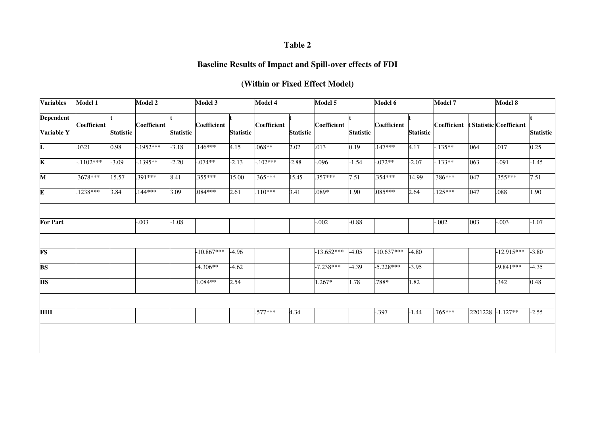# **Table 2**

# **Baseline Results of Impact and Spill-over effects of FDI**

# **(Within or Fixed Effect Model)**

| <b>Variables</b>               | Model 1     |                  | <b>Model 2</b> |                  | Model 3            |                  | Model 4     |                  | Model 5      |                  | Model 6      |                  | Model 7                             |                   | Model 8      |                  |
|--------------------------------|-------------|------------------|----------------|------------------|--------------------|------------------|-------------|------------------|--------------|------------------|--------------|------------------|-------------------------------------|-------------------|--------------|------------------|
| <b>Dependent</b><br>Variable Y | Coefficient | <b>Statistic</b> | Coefficient    | <b>Statistic</b> | <b>Coefficient</b> | <b>Statistic</b> | Coefficient | <b>Statistic</b> | Coefficient  | <b>Statistic</b> | Coefficient  | <b>Statistic</b> | Coefficient t Statistic Coefficient |                   |              | <b>Statistic</b> |
| L                              | .0321       | 0.98             | $-1952***$     | $-3.18$          | $.146***$          | 4.15             | $.068**$    | 2.02             | .013         | 0.19             | $.147***$    | 4.17             | $-135**$                            | .064              | .017         | 0.25             |
| $\overline{\mathbf{K}}$        | $-1102***$  | $-3.09$          | $-1395**$      | $-2.20$          | $.074**$           | $-2.13$          | $.102***$   | $-2.88$          | $-0.096$     | $-1.54$          | $-072**$     | $-2.07$          | $.133**$                            | .063              | $-0.091$     | $-1.45$          |
| $\overline{\mathbf{M}}$        | $.3678***$  | 15.57            | $.391***$      | 8.41             | $.355***$          | 15.00            | $.365***$   | 15.45            | $.357***$    | 7.51             | $.354***$    | 14.99            | .386***                             | .047              | $.355***$    | 7.51             |
| E                              | $.1238***$  | 3.84             | $.144***$      | 3.09             | $.084***$          | 2.61             | $.110***$   | 3.41             | .089*        | 1.90             | $.085***$    | 2.64             | $.125***$                           | .047              | .088         | 1.90             |
|                                |             |                  |                |                  |                    |                  |             |                  |              |                  |              |                  |                                     |                   |              |                  |
| <b>For Part</b>                |             |                  | $-0.003$       | $-1.08$          |                    |                  |             |                  | $-0.002$     | $-0.88$          |              |                  | $-0.002$                            | .003              | $-0.003$     | $-1.07$          |
|                                |             |                  |                |                  |                    |                  |             |                  |              |                  |              |                  |                                     |                   |              |                  |
| <b>FS</b>                      |             |                  |                |                  | $-10.867***$       | $-4.96$          |             |                  | $-13.652***$ | $-4.05$          | $-10.637***$ | $-4.80$          |                                     |                   | $-12.915***$ | $-3.80$          |
| $\overline{\text{BS}}$         |             |                  |                |                  | $-4.306**$         | $-4.62$          |             |                  | $-7.238***$  | $-4.39$          | $-5.228***$  | $-3.95$          |                                     |                   | $-9.841***$  | $-4.35$          |
| <b>HS</b>                      |             |                  |                |                  | $1.084**$          | 2.54             |             |                  | $1.267*$     | 1.78             | .788*        | 1.82             |                                     |                   | .342         | 0.48             |
|                                |             |                  |                |                  |                    |                  |             |                  |              |                  |              |                  |                                     |                   |              |                  |
| <b>HHI</b>                     |             |                  |                |                  |                    |                  | .577***     | 4.34             |              |                  | $-0.397$     | $-1.44$          | $.765***$                           | .2201228 -1.127** |              | $-2.55$          |
|                                |             |                  |                |                  |                    |                  |             |                  |              |                  |              |                  |                                     |                   |              |                  |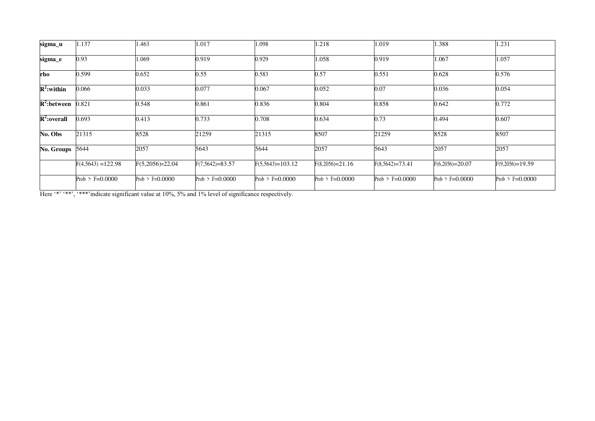| sigma_u         | 1.137                | 1.463             | 1.017                | 1.098              | 1.218             | 1.019                | 1.388             | 1.231             |
|-----------------|----------------------|-------------------|----------------------|--------------------|-------------------|----------------------|-------------------|-------------------|
| sigma_e         | 0.93                 | 1.069             | 0.919                | 0.929              | 1.058             | 0.919                | 1.067             | 1.057             |
| rho             | 0.599                | 0.652             | 0.55                 | 0.583              | 0.57              | 0.551                | 0.628             | 0.576             |
| $R^2$ :within   | 0.066                | 0.033             | 0.077                | 0.067              | 0.052             | 0.07                 | 0.036             | 0.054             |
| $R^2$ : between | 0.821                | 0.548             | 0.861                | 0.836              | 0.804             | 0.858                | 0.642             | 0.772             |
| $R^2$ :overall  | 0.693                | 0.413             | 0.733                | 0.708              | 0.634             | 0.73                 | 0.494             | 0.607             |
| No. Obs         | 21315                | 8528              | 21259                | 21315              | 8507              | 21259                | 8528              | 8507              |
| No. Groups      | 5644                 | 2057              | 5643                 | 5644               | 2057              | 5643                 | 2057              | 2057              |
|                 | $F(4,5643) = 122.98$ | $F(5,2056)=22.04$ | $F(7, 5642) = 83.57$ | $F(5,5643)=103.12$ | $F(8,2056)=21.16$ | $F(8, 5642) = 73.41$ | $F(6,2056)=20.07$ | $F(9,2056)=19.59$ |
|                 | Prob > $F=0.0000$    | Prob > $F=0.0000$ | Prob > $F=0.0000$    | Prob > $F=0.0000$  | Prob > $F=0.0000$ | Prob > $F=0.0000$    | Prob > $F=0.0000$ | Prob > $F=0.0000$ |

Here '\*' '\*\*', '\*\*\*'indicate significant value at 10%, 5% and 1% level of significance respectively.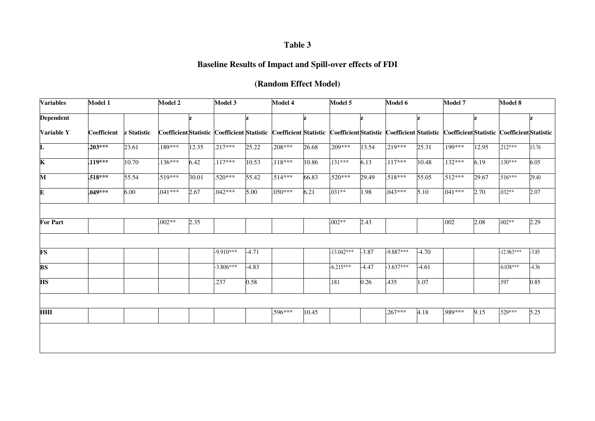# **Table 3**

# **Baseline Results of Impact and Spill-over effects of FDI**

# **(Random Effect Model)**

| <b>Variables</b>        | Model 1     |             | Model 2   |       | Model 3                                                               |         | Model 4   |       | Model 5      |         | Model 6                                       |         | Model 7   |       | Model 8                                       |         |
|-------------------------|-------------|-------------|-----------|-------|-----------------------------------------------------------------------|---------|-----------|-------|--------------|---------|-----------------------------------------------|---------|-----------|-------|-----------------------------------------------|---------|
| <b>Dependent</b>        |             |             |           | z     |                                                                       |         |           | z     |              | z       |                                               |         |           |       |                                               | z       |
| Variable Y              | Coefficient | z Statistic |           |       | Coefficient Statistic   Coefficient Statistic   Coefficient Statistic |         |           |       |              |         | Coefficient Statistic   Coefficient Statistic |         |           |       | Coefficient Statistic   Coefficient Statistic |         |
| L                       | $.203***$   | 23.61       | 189***    | 12.35 | $.217***$                                                             | 25.22   | $.208***$ | 26.68 | $.209***$    | 13.54   | $.219***$                                     | 25.31   | 199***    | 12.95 | $.212***$                                     | 13.76   |
| $\overline{\mathbf{K}}$ | $.119***$   | 10.70       | 136***    | 6.42  | $.117***$                                                             | 10.53   | 118***    | 10.86 | 131***       | 6.13    | $.117***$                                     | 10.48   | 132***    | 6.19  | $.130***$                                     | 6.05    |
| M                       | $.518***$   | 55.54       | $.519***$ | 30.01 | $.520***$                                                             | 55.42   | $.514***$ | 66.83 | $.520***$    | 29.49   | $.518***$                                     | 55.05   | $.512***$ | 29.67 | $.516***$                                     | 29.40   |
| ${\bf E}$               | $.049***$   | 6.00        | $.041***$ | 2.67  | $.042***$                                                             | 5.00    | $.050***$ | 6.21  | $.031**$     | .98     | $.043***$                                     | 5.10    | $.041***$ | 2.70  | $.032**$                                      | 2.07    |
|                         |             |             |           |       |                                                                       |         |           |       |              |         |                                               |         |           |       |                                               |         |
| <b>For Part</b>         |             |             | $.002**$  | 2.35  |                                                                       |         |           |       | $.002**$     | 2.43    |                                               |         | .002      | 2.08  | $.002**$                                      | 2.29    |
|                         |             |             |           |       |                                                                       |         |           |       |              |         |                                               |         |           |       |                                               |         |
| <b>FS</b>               |             |             |           |       | $-9.910***$                                                           | $-4.71$ |           |       | $-13.042***$ | $-3.87$ | $-9.887***$                                   | $-4.70$ |           |       | $-12.963***$                                  | $-3.85$ |
| <b>BS</b>               |             |             |           |       | $-3.806***$                                                           | $-4.83$ |           |       | $-6.215***$  | $-4.47$ | $-3.637***$                                   | $-4.61$ |           |       | $-6.038***$                                   | $-4.36$ |
| <b>HS</b>               |             |             |           |       | .237                                                                  | 0.58    |           |       | 181          | 0.26    | .435                                          | 1.07    |           |       | .597                                          | 0.85    |
|                         |             |             |           |       |                                                                       |         |           |       |              |         |                                               |         |           |       |                                               |         |
| <b>HHI</b>              |             |             |           |       |                                                                       |         | .596***   | 10.45 |              |         | $.267***$                                     | 4.18    | .989***   | 9.15  | .529***                                       | 5.25    |
|                         |             |             |           |       |                                                                       |         |           |       |              |         |                                               |         |           |       |                                               |         |
|                         |             |             |           |       |                                                                       |         |           |       |              |         |                                               |         |           |       |                                               |         |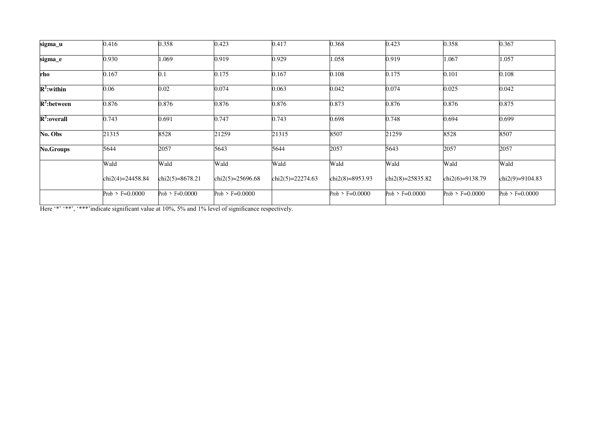| sigma_u          | 0.416             | 0.358             | 0.423              | 0.417            | 0.368             | 0.423               | 0.358             | 0.367             |
|------------------|-------------------|-------------------|--------------------|------------------|-------------------|---------------------|-------------------|-------------------|
| sigma_e          | 0.930             | 1.069             | 0.919              | 0.929            | 1.058             | 0.919               | 1.067             | 1.057             |
| rho              | 0.167             | 0.1               | 0.175              | 0.167            | 0.108             | 0.175               | 0.101             | 0.108             |
| $R^2$ :within    | 0.06              | 0.02              | 0.074              | 0.063            | 0.042             | 0.074               | 0.025             | 0.042             |
| $R^2$ : between  | 0.876             | 0.876             | 0.876              | 0.876            | 0.873             | 0.876               | 0.876             | 0.875             |
| $R^2$ :overall   | 0.743             | 0.691             | 0.747              | 0.743            | 0.698             | 0.748               | 0.694             | 0.699             |
| No. Obs          | 21315             | 8528              | 21259              | 21315            | 8507              | 21259               | 8528              | 8507              |
| <b>No.Groups</b> | 5644              | 2057              | 5643               | 5644             | 2057              | 5643                | 2057              | 2057              |
|                  | Wald              | Wald              | Wald               | Wald             | Wald              | Wald                | Wald              | Wald              |
|                  | chi2(4)=24458.84  | chi2(5)=8678.21   | $chi2(5)=25696.68$ | chi2(5)=22274.63 | chi2(8)=8953.93   | chi2(8)= $25835.82$ | chi2(6)=9138.79   | chi2(9)=9104.83   |
|                  | Prob > $F=0.0000$ | Prob > $F=0.0000$ | Prob > $F=0.0000$  |                  | Prob > $F=0.0000$ | Prob > $F=0.0000$   | Prob > $F=0.0000$ | Prob > $F=0.0000$ |

Here '\*' '\*\*', '\*\*\*'indicate significant value at 10%, 5% and 1% level of significance respectively.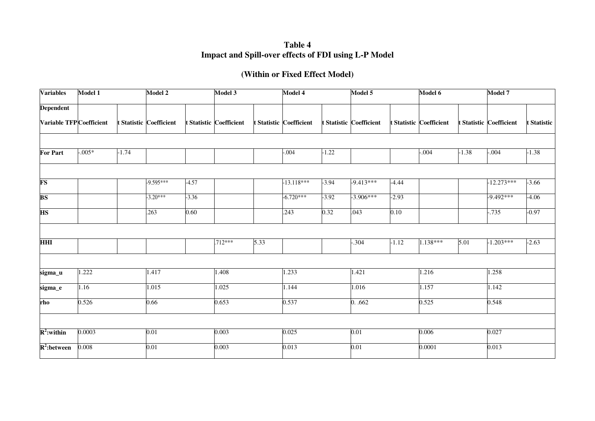**Table 4 Impact and Spill-over effects of FDI using L-P Model** 

# **(Within or Fixed Effect Model)**

| <b>Variables</b>                   | Model 1   |         | Model 2                      |         | Model 3                 |      | Model 4                 |         | Model 5                 |         | Model 6                 |         | Model 7                 |             |
|------------------------------------|-----------|---------|------------------------------|---------|-------------------------|------|-------------------------|---------|-------------------------|---------|-------------------------|---------|-------------------------|-------------|
| <b>Dependent</b>                   |           |         |                              |         |                         |      |                         |         |                         |         |                         |         |                         |             |
| Variable TFP Coefficient           |           |         | <b>Statistic Coefficient</b> |         | t Statistic Coefficient |      | t Statistic Coefficient |         | t Statistic Coefficient |         | t Statistic Coefficient |         | t Statistic Coefficient | t Statistic |
|                                    |           |         |                              |         |                         |      |                         |         |                         |         |                         |         |                         |             |
| <b>For Part</b>                    | $-0.005*$ | $-1.74$ |                              |         |                         |      | $-.004$                 | $-1.22$ |                         |         | $-0.004$                | $-1.38$ | $-0.004$                | $-1.38$     |
|                                    |           |         |                              |         |                         |      |                         |         |                         |         |                         |         |                         |             |
| <b>FS</b>                          |           |         | $-9.595***$                  | $-4.57$ |                         |      | $-13.118***$            | $-3.94$ | $-9.413***$             | $-4.44$ |                         |         | $-12.273***$            | $-3.66$     |
| <b>BS</b>                          |           |         | $-3.20***$                   | $-3.36$ |                         |      | $-6.720***$             | $-3.92$ | $-3.906***$             | $-2.93$ |                         |         | $-9.492***$             | $-4.06$     |
| <b>HS</b>                          |           |         | .263                         | 0.60    |                         |      | .243                    | 0.32    | .043                    | 0.10    |                         |         | $-0.735$                | $-0.97$     |
|                                    |           |         |                              |         |                         |      |                         |         |                         |         |                         |         |                         |             |
| $\overline{\bf H\bf H\bf I}$       |           |         |                              |         | $.712***$               | 5.33 |                         |         | $-0.304$                | $-1.12$ | $1.138***$              | 5.01    | $-1.203***$             | $-2.63$     |
|                                    |           |         |                              |         |                         |      |                         |         |                         |         |                         |         |                         |             |
| sigma_u                            | 1.222     |         | 1.417                        |         | 1.408                   |      | 1.233                   |         | 1.421                   |         | 1.216                   |         | 1.258                   |             |
| sigma_e                            | 1.16      |         | 1.015                        |         | 1.025                   |      | 1.144                   |         | 1.016                   |         | 1.157                   |         | 1.142                   |             |
| rho                                | 0.526     |         | 0.66                         |         | 0.653                   |      | 0.537                   |         | 0.062                   |         | 0.525                   |         | 0.548                   |             |
|                                    |           |         |                              |         |                         |      |                         |         |                         |         |                         |         |                         |             |
| $R^2$ : within                     | 0.0003    |         | 0.01                         |         | 0.003                   |      | 0.025                   |         | 0.01                    |         | 0.006                   |         | 0.027                   |             |
| $\overline{\mathbf{R}^2:}$ between | 0.008     |         | $\overline{0.01}$            |         | 0.003                   |      | 0.013                   |         | 0.01                    |         | 0.0001                  |         | 0.013                   |             |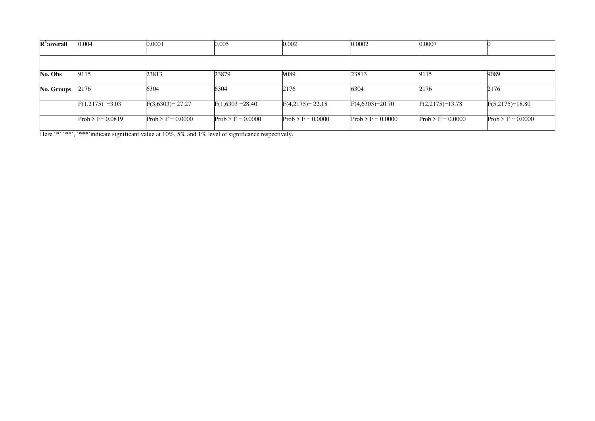| $R^2$ :overall | 0.004               | 0.0001              | 0.005               | 0.002               | 0.0002              | 0.0007              |                     |
|----------------|---------------------|---------------------|---------------------|---------------------|---------------------|---------------------|---------------------|
|                |                     |                     |                     |                     |                     |                     |                     |
| No. Obs        | 9115                | 23813               | 23879               | 9089                | 23813               | 9115                | 9089                |
| No. Groups     | 2176                | 6304                | 6304                | 2176                | 6304                | 2176                | 2176                |
|                | $F(1,2175) = 3.03$  | $F(3,6303)=27.27$   | $F(1,6303 = 28.40)$ | $F(4,2175) = 22.18$ | $F(4,6303)=20.70$   | $F(2,2175)=13.78$   | $F(5,2175)=18.80$   |
|                | $Prob > F = 0.0819$ | $Prob > F = 0.0000$ | $Prob > F = 0.0000$ | $Prob > F = 0.0000$ | $Prob > F = 0.0000$ | $Prob > F = 0.0000$ | $Prob > F = 0.0000$ |

Here '\*' '\*\*', '\*\*\*'indicate significant value at 10%, 5% and 1% level of significance respectively.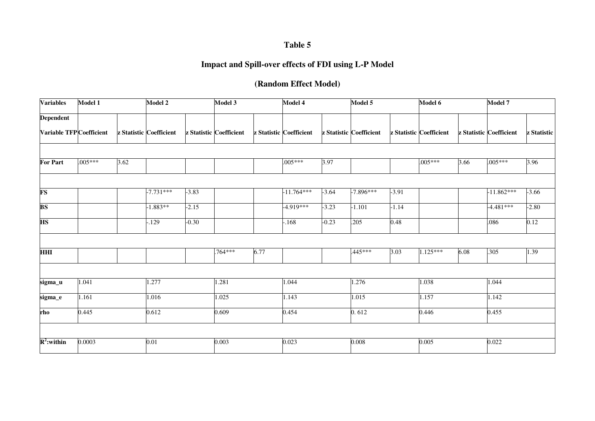# **Table 5**

# **Impact and Spill-over effects of FDI using L-P Model**

# **(Random Effect Model)**

| <b>Variables</b>        | Model 1   |      | Model 2                 |         | Model 3                 |      | Model 4                 |         | Model 5                 |         | Model 6                 |      | Model 7                 |             |
|-------------------------|-----------|------|-------------------------|---------|-------------------------|------|-------------------------|---------|-------------------------|---------|-------------------------|------|-------------------------|-------------|
| <b>Dependent</b>        |           |      |                         |         |                         |      |                         |         |                         |         |                         |      |                         |             |
| Variable TFPCoefficient |           |      | z Statistic Coefficient |         | z Statistic Coefficient |      | z Statistic Coefficient |         | z Statistic Coefficient |         | z Statistic Coefficient |      | z Statistic Coefficient | z Statistic |
|                         |           |      |                         |         |                         |      |                         |         |                         |         |                         |      |                         |             |
| For Part                | $.005***$ | 3.62 |                         |         |                         |      | $.005***$               | 3.97    |                         |         | $.005***$               | 3.66 | $.005***$               | 3.96        |
|                         |           |      |                         |         |                         |      |                         |         |                         |         |                         |      |                         |             |
| <b>FS</b>               |           |      | $-7.731***$             | $-3.83$ |                         |      | $-11.764***$            | $-3.64$ | $-7.896***$             | $-3.91$ |                         |      | $-11.862***$            | $-3.66$     |
| <b>BS</b>               |           |      | $-1.883**$              | $-2.15$ |                         |      | $-4.919***$             | $-3.23$ | $-1.101$                | $-1.14$ |                         |      | $-4.481***$             | $-2.80$     |
| <b>HS</b>               |           |      | $-129$                  | $-0.30$ |                         |      | $-168$                  | $-0.23$ | .205                    | 0.48    |                         |      | .086                    | 0.12        |
|                         |           |      |                         |         |                         |      |                         |         |                         |         |                         |      |                         |             |
| <b>HHI</b>              |           |      |                         |         | .764***                 | 6.77 |                         |         | .445***                 | 3.03    | $1.125***$              | 6.08 | .305                    | 1.39        |
|                         |           |      |                         |         |                         |      |                         |         |                         |         |                         |      |                         |             |
| sigma_u                 | 1.041     |      | 1.277                   |         | 1.281                   |      | 1.044                   |         | 1.276                   |         | 1.038                   |      | 1.044                   |             |
| sigma_e                 | 1.161     |      | 1.016                   |         | 1.025                   |      | 1.143                   |         | 1.015                   |         | 1.157                   |      | 1.142                   |             |
| rho                     | 0.445     |      | 0.612                   |         | 0.609                   |      | 0.454                   |         | 0.612                   |         | 0.446                   |      | 0.455                   |             |
|                         |           |      |                         |         |                         |      |                         |         |                         |         |                         |      |                         |             |
| $R^2$ :within           | 0.0003    |      | 0.01                    |         | 0.003                   |      | 0.023                   |         | 0.008                   |         | 0.005                   |      | 0.022                   |             |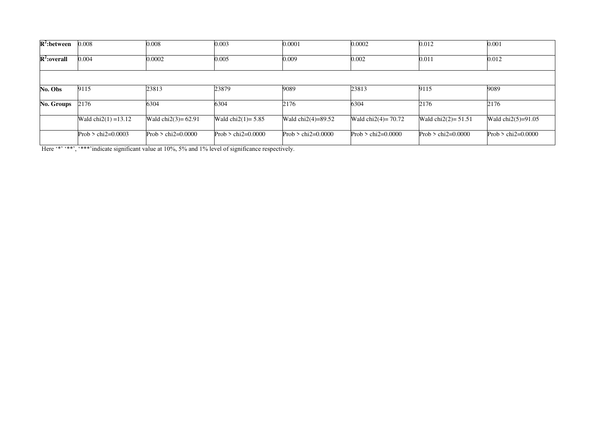| $R^2$ : between   | 0.008                  | 0.008                  | 0.003                 | 0.0001               | 0.0002                 | 0.012                   | 0.001                |
|-------------------|------------------------|------------------------|-----------------------|----------------------|------------------------|-------------------------|----------------------|
| $R^2$ :overall    | 0.004                  | 0.0002                 | 0.005                 | 0.009                | 0.002                  | 0.011                   | 0.012                |
|                   |                        |                        |                       |                      |                        |                         |                      |
| No. Obs           | 9115                   | 23813                  | 23879                 | 9089                 | 23813                  | 9115                    | 9089                 |
| <b>No. Groups</b> | 2176                   | 6304                   | 6304                  | 2176                 | 6304                   | 2176                    | 2176                 |
|                   | Wald $chi2(1) = 13.12$ | Wald $chi2(3) = 62.91$ | Wald $chi2(1) = 5.85$ | Wald $chi2(4)=89.52$ | Wald $chi2(4) = 70.72$ | Wald chi $2(2) = 51.51$ | Wald $chi2(5)=91.05$ |
|                   | Prob $>$ chi2=0.0003   | Prob $>$ chi2=0.0000   | Prob $>$ chi2=0.0000  | Prob $>$ chi2=0.0000 | Prob $>$ chi2=0.0000   | Prob $>$ chi2=0.0000    | Prob $>$ chi2=0.0000 |

Here '\*' '\*\*', '\*\*\*'indicate significant value at 10%, 5% and 1% level of significance respectively.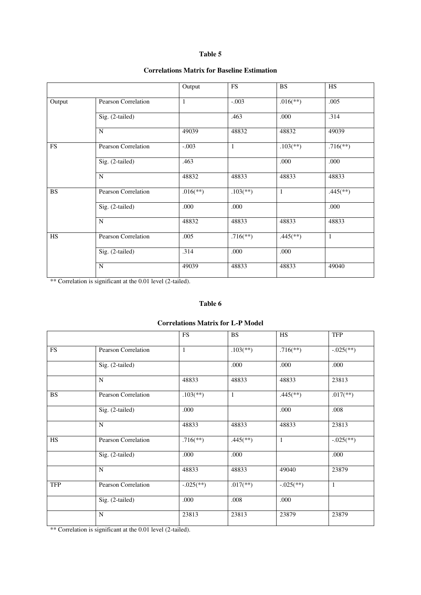#### **Table 5**

## **Correlations Matrix for Baseline Estimation**

|                        |                     | Output                   | <b>FS</b>                | <b>BS</b>                | HS                       |
|------------------------|---------------------|--------------------------|--------------------------|--------------------------|--------------------------|
| Output                 | Pearson Correlation | $\mathbf{1}$             | $-.003$                  | $.016$ <sup>(**)</sup> ) | .005                     |
|                        | Sig. (2-tailed)     |                          | .463                     | .000                     | .314                     |
|                        | N                   | 49039                    | 48832                    | 48832                    | 49039                    |
| $\overline{\text{FS}}$ | Pearson Correlation | $-.003$                  | $\mathbf{1}$             | $.103$ <sup>(**)</sup> ) | $.716$ <sup>(**)</sup> ) |
|                        | Sig. (2-tailed)     | .463                     |                          | .000                     | .000                     |
|                        | $\mathbf N$         | 48832                    | 48833                    | 48833                    | 48833                    |
| $\overline{\text{BS}}$ | Pearson Correlation | $.016$ <sup>(**)</sup> ) | $.103$ <sup>(**)</sup> ) | $\mathbf{1}$             | $.445$ <sup>**</sup> )   |
|                        | Sig. (2-tailed)     | .000                     | .000                     |                          | .000                     |
|                        | $\mathbf N$         | 48832                    | 48833                    | 48833                    | 48833                    |
| <b>HS</b>              | Pearson Correlation | .005                     | $.716$ <sup>(**)</sup> ) | $.445$ <sup>(**)</sup> ) | 1                        |
|                        | Sig. (2-tailed)     | .314                     | .000                     | .000                     |                          |
|                        | $\overline{N}$      | 49039                    | 48833                    | 48833                    | 49040                    |

\*\* Correlation is significant at the 0.01 level (2-tailed).

#### **Table 6**

#### **Correlations Matrix for L-P Model**

|            |                     | <b>FS</b>                 | <b>BS</b>                | HS                        | <b>TFP</b>                |
|------------|---------------------|---------------------------|--------------------------|---------------------------|---------------------------|
| ${\rm FS}$ | Pearson Correlation | 1                         | $.103$ <sup>(**)</sup> ) | $.716$ <sup>(**)</sup> )  | $-.025$ <sup>(**)</sup> ) |
|            | Sig. (2-tailed)     |                           | .000                     | .000                      | .000                      |
|            | N                   | 48833                     | 48833                    | 48833                     | 23813                     |
| <b>BS</b>  | Pearson Correlation | $.103$ <sup>(**)</sup> )  | $\mathbf{1}$             | $.445$ <sup>(**)</sup> )  | $.017$ <sup>**</sup> )    |
|            | Sig. (2-tailed)     | .000                      |                          | .000                      | .008                      |
|            | N                   | 48833                     | 48833                    | 48833                     | 23813                     |
| <b>HS</b>  | Pearson Correlation | $.716$ <sup>(**)</sup> )  | $.445$ <sup>**</sup> )   | $\mathbf{1}$              | $-.025$ <sup>(**)</sup> ) |
|            | Sig. (2-tailed)     | .000                      | .000                     |                           | .000                      |
|            | N                   | 48833                     | 48833                    | 49040                     | 23879                     |
| <b>TFP</b> | Pearson Correlation | $-.025$ <sup>(**)</sup> ) | $.017$ <sup>**</sup> )   | $-.025$ <sup>(**)</sup> ) | -1                        |
|            | Sig. (2-tailed)     | .000                      | .008                     | .000                      |                           |
|            | N                   | 23813                     | 23813                    | 23879                     | 23879                     |

\*\* Correlation is significant at the 0.01 level (2-tailed).